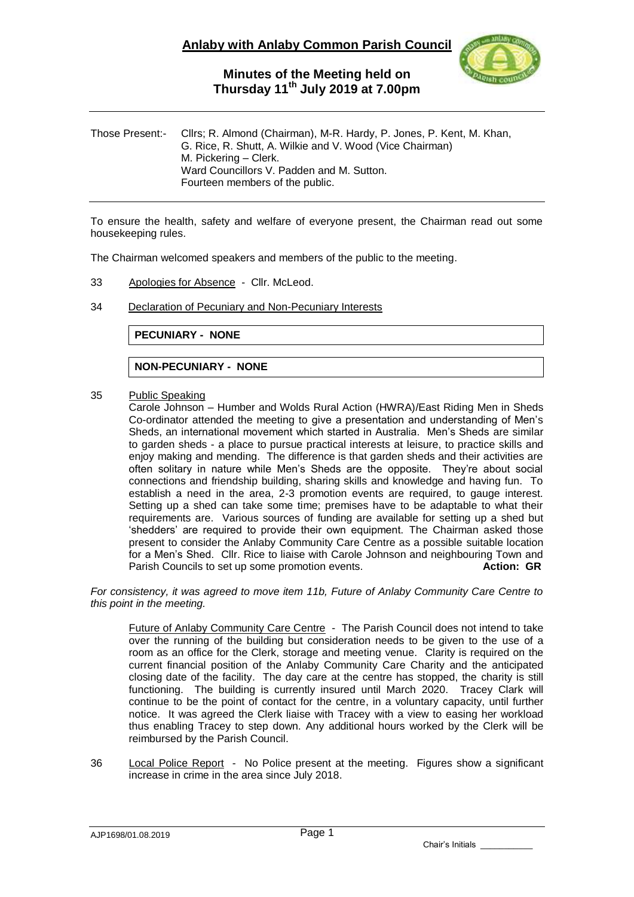

### **Minutes of the Meeting held on Thursday 11 th July 2019 at 7.00pm**

| Those Present:- Cllrs; R. Almond (Chairman), M-R. Hardy, P. Jones, P. Kent, M. Khan,<br>G. Rice, R. Shutt, A. Wilkie and V. Wood (Vice Chairman)<br>M. Pickering – Clerk.<br>Ward Councillors V. Padden and M. Sutton.<br>Fourteen members of the public. |
|-----------------------------------------------------------------------------------------------------------------------------------------------------------------------------------------------------------------------------------------------------------|
|                                                                                                                                                                                                                                                           |

To ensure the health, safety and welfare of everyone present, the Chairman read out some housekeeping rules.

The Chairman welcomed speakers and members of the public to the meeting.

- 33 Apologies for Absence Cllr. McLeod.
- 34 Declaration of Pecuniary and Non-Pecuniary Interests

**PECUNIARY - NONE**

#### **NON-PECUNIARY - NONE**

35 Public Speaking

Carole Johnson – Humber and Wolds Rural Action (HWRA)/East Riding Men in Sheds Co-ordinator attended the meeting to give a presentation and understanding of Men's Sheds, an international movement which started in Australia. Men's Sheds are similar to garden sheds - a place to pursue practical interests at leisure, to practice skills and enjoy making and mending. The difference is that garden sheds and their activities are often solitary in nature while Men's Sheds are the opposite. They're about social connections and friendship building, sharing skills and knowledge and having fun. To establish a need in the area, 2-3 promotion events are required, to gauge interest. Setting up a shed can take some time; premises have to be adaptable to what their requirements are. Various sources of funding are available for setting up a shed but 'shedders' are required to provide their own equipment. The Chairman asked those present to consider the Anlaby Community Care Centre as a possible suitable location for a Men's Shed. Cllr. Rice to liaise with Carole Johnson and neighbouring Town and Parish Councils to set up some promotion events. **Action: GR** 

*For consistency, it was agreed to move item 11b, Future of Anlaby Community Care Centre to this point in the meeting.*

Future of Anlaby Community Care Centre - The Parish Council does not intend to take over the running of the building but consideration needs to be given to the use of a room as an office for the Clerk, storage and meeting venue. Clarity is required on the current financial position of the Anlaby Community Care Charity and the anticipated closing date of the facility. The day care at the centre has stopped, the charity is still functioning. The building is currently insured until March 2020. Tracey Clark will continue to be the point of contact for the centre, in a voluntary capacity, until further notice. It was agreed the Clerk liaise with Tracey with a view to easing her workload thus enabling Tracey to step down. Any additional hours worked by the Clerk will be reimbursed by the Parish Council.

36 Local Police Report - No Police present at the meeting. Figures show a significant increase in crime in the area since July 2018.

AJP1698/01.08.2019

Chair's Initials \_\_\_\_\_\_\_\_\_\_\_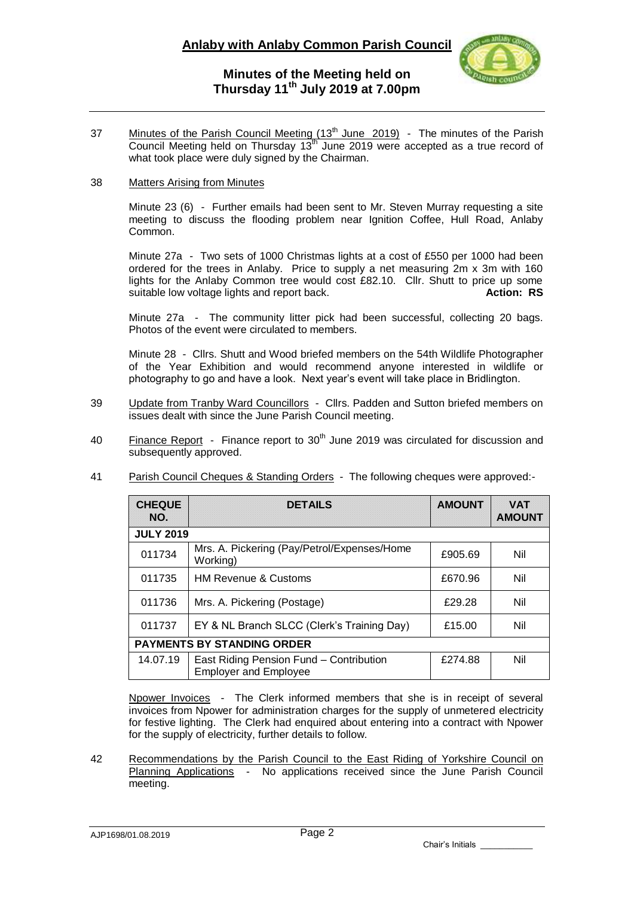

# **Minutes of the Meeting held on Thursday 11 th July 2019 at 7.00pm**

37 Minutes of the Parish Council Meeting (13<sup>th</sup> June 2019) - The minutes of the Parish Council Meeting held on Thursday  $13<sup>th</sup>$  June 2019 were accepted as a true record of what took place were duly signed by the Chairman.

### 38 Matters Arising from Minutes

Minute 23 (6) - Further emails had been sent to Mr. Steven Murray requesting a site meeting to discuss the flooding problem near Ignition Coffee, Hull Road, Anlaby Common.

Minute 27a - Two sets of 1000 Christmas lights at a cost of £550 per 1000 had been ordered for the trees in Anlaby. Price to supply a net measuring 2m x 3m with 160 lights for the Anlaby Common tree would cost £82.10. Cllr. Shutt to price up some suitable low voltage lights and report back. **Action: RS Action: RS** 

Minute 27a - The community litter pick had been successful, collecting 20 bags. Photos of the event were circulated to members.

Minute 28 - Cllrs. Shutt and Wood briefed members on the 54th Wildlife Photographer of the Year Exhibition and would recommend anyone interested in wildlife or photography to go and have a look. Next year's event will take place in Bridlington.

- 39 Update from Tranby Ward Councillors Cllrs. Padden and Sutton briefed members on issues dealt with since the June Parish Council meeting.
- 40 Finance Report Finance report to  $30<sup>th</sup>$  June 2019 was circulated for discussion and subsequently approved.
- 41 Parish Council Cheques & Standing Orders The following cheques were approved:-

| <b>CHEQUE</b><br>NO.              | <b>DETAILS</b>                                                          | <b>AMOUNT</b> | <b>VAT</b><br><b>AMOUNT</b> |
|-----------------------------------|-------------------------------------------------------------------------|---------------|-----------------------------|
| <b>JULY 2019</b>                  |                                                                         |               |                             |
| 011734                            | Mrs. A. Pickering (Pay/Petrol/Expenses/Home<br>Working)                 | £905.69       | Nil                         |
| 011735                            | <b>HM Revenue &amp; Customs</b>                                         | £670.96       | Nil                         |
| 011736                            | Mrs. A. Pickering (Postage)                                             | £29.28        | Nil                         |
| 011737                            | EY & NL Branch SLCC (Clerk's Training Day)                              | £15.00        | Nil                         |
| <b>PAYMENTS BY STANDING ORDER</b> |                                                                         |               |                             |
| 14.07.19                          | East Riding Pension Fund - Contribution<br><b>Employer and Employee</b> | £274.88       | Nil                         |

Npower Invoices - The Clerk informed members that she is in receipt of several invoices from Npower for administration charges for the supply of unmetered electricity for festive lighting. The Clerk had enquired about entering into a contract with Npower for the supply of electricity, further details to follow.

42 Recommendations by the Parish Council to the East Riding of Yorkshire Council on Planning Applications - No applications received since the June Parish Council meeting.

AJP1698/01.08.2019

Chair's Initials \_\_\_\_\_\_\_\_\_\_\_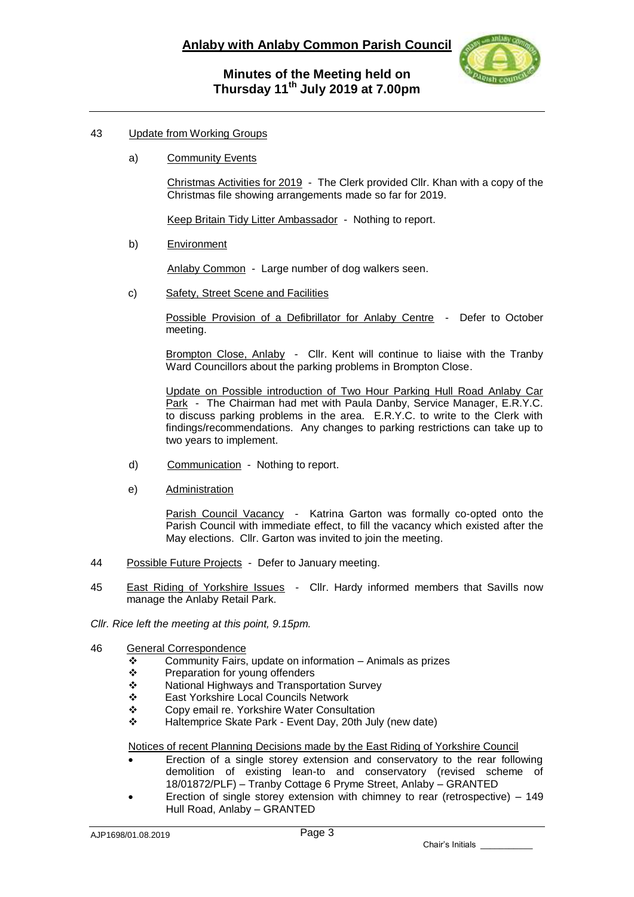### 43 Update from Working Groups

a) Community Events

Christmas Activities for 2019 - The Clerk provided Cllr. Khan with a copy of the Christmas file showing arrangements made so far for 2019.

Keep Britain Tidy Litter Ambassador - Nothing to report.

b) Environment

Anlaby Common - Large number of dog walkers seen.

c) Safety, Street Scene and Facilities

Possible Provision of a Defibrillator for Anlaby Centre - Defer to October meeting.

Brompton Close, Anlaby - Cllr. Kent will continue to liaise with the Tranby Ward Councillors about the parking problems in Brompton Close.

Update on Possible introduction of Two Hour Parking Hull Road Anlaby Car Park - The Chairman had met with Paula Danby, Service Manager, E.R.Y.C. to discuss parking problems in the area. E.R.Y.C. to write to the Clerk with findings/recommendations. Any changes to parking restrictions can take up to two years to implement.

- d) Communication Nothing to report.
- e) Administration

Parish Council Vacancy - Katrina Garton was formally co-opted onto the Parish Council with immediate effect, to fill the vacancy which existed after the May elections. Cllr. Garton was invited to join the meeting.

- 44 Possible Future Projects Defer to January meeting.
- 45 East Riding of Yorkshire Issues Cllr. Hardy informed members that Savills now manage the Anlaby Retail Park.
- *Cllr. Rice left the meeting at this point, 9.15pm.*
- 46 General Correspondence
	- $\div$  Community Fairs, update on information Animals as prizes  $\div$  Preparation for voung offenders
	- Preparation for young offenders
	- ❖ National Highways and Transportation Survey<br>❖ East Yorkshire Local Councils Network
	- East Yorkshire Local Councils Network
	- Copy email re. Yorkshire Water Consultation
	- Haltemprice Skate Park Event Day, 20th July (new date)

Notices of recent Planning Decisions made by the East Riding of Yorkshire Council

- Erection of a single storey extension and conservatory to the rear following demolition of existing lean-to and conservatory (revised scheme of 18/01872/PLF) – Tranby Cottage 6 Pryme Street, Anlaby – GRANTED
- Erection of single storey extension with chimney to rear (retrospective) 149 Hull Road, Anlaby – GRANTED

Chair's Initials \_\_